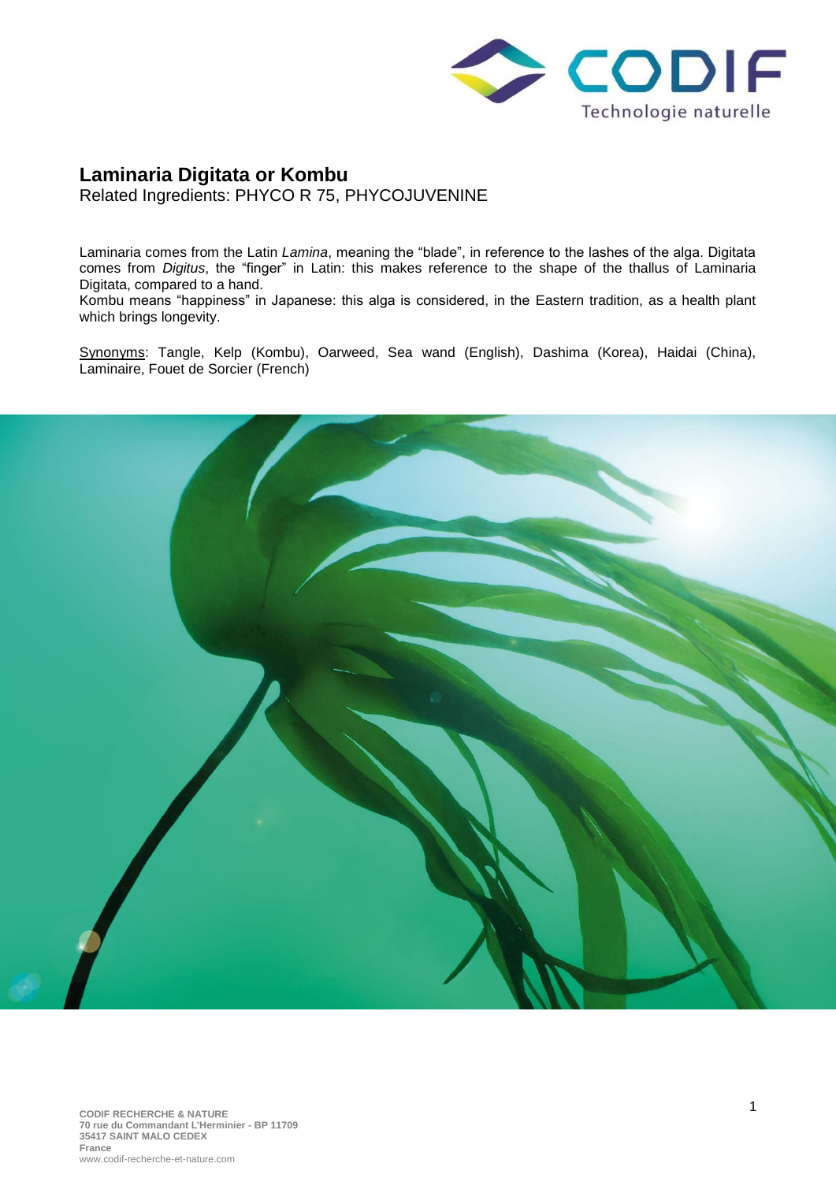

## **Laminaria Digitata or Kombu** Related Ingredients: PHYCO R 75, PHYCOJUVENINE

Laminaria comes from the Latin *Lamina*, meaning the "blade", in reference to the lashes of the alga. Digitata comes from *Digitus*, the "finger" in Latin: this makes reference to the shape of the thallus of Laminaria Digitata, compared to a hand.

Kombu means "happiness" in Japanese: this alga is considered, in the Eastern tradition, as a health plant which brings longevity.

Synonyms: Tangle, Kelp (Kombu), Oarweed, Sea wand (English), Dashima (Korea), Haidai (China), Laminaire, Fouet de Sorcier (French)

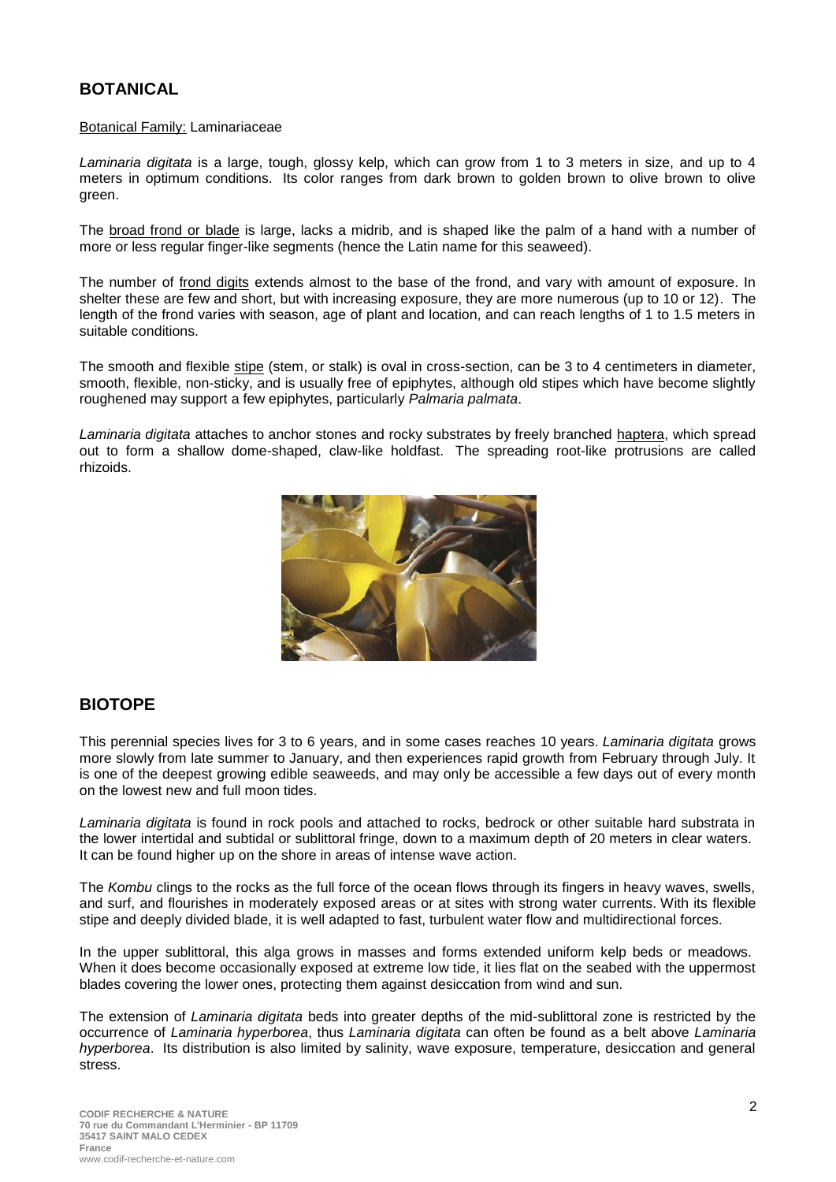# **BOTANICAL**

#### Botanical Family: Laminariaceae

*Laminaria digitata* is a large, tough, glossy kelp, which can grow from 1 to 3 meters in size, and up to 4 meters in optimum conditions. Its color ranges from dark brown to golden brown to olive brown to olive green.

The broad frond or blade is large, lacks a midrib, and is shaped like the palm of a hand with a number of more or less regular finger-like segments (hence the Latin name for this seaweed).

The number of frond digits extends almost to the base of the frond, and vary with amount of exposure. In shelter these are few and short, but with increasing exposure, they are more numerous (up to 10 or 12). The length of the frond varies with season, age of plant and location, and can reach lengths of 1 to 1.5 meters in suitable conditions.

The smooth and flexible stipe (stem, or stalk) is oval in cross-section, can be 3 to 4 centimeters in diameter, smooth, flexible, non-sticky, and is usually free of epiphytes, although old stipes which have become slightly roughened may support a few epiphytes, particularly *[Palmaria palmata](https://seaweedindustry.com/seaweed/type/palmaria-palmata)*.

*Laminaria digitata* attaches to anchor stones and rocky substrates by freely branched haptera, which spread out to form a shallow dome-shaped, claw-like holdfast. The spreading root-like protrusions are called rhizoids.



#### **BIOTOPE**

This perennial species lives for 3 to 6 years, and in some cases reaches 10 years. *Laminaria digitata* grows more slowly from late summer to January, and then experiences rapid growth from February through July. It is one of the deepest growing edible seaweeds, and may only be accessible a few days out of every month on the lowest new and full moon tides.

*Laminaria digitata* is found in rock pools and attached to rocks, bedrock or other suitable hard substrata in the lower intertidal and subtidal or sublittoral fringe, down to a maximum depth of 20 meters in clear waters. It can be found higher up on the shore in areas of intense wave action.

The *Kombu* clings to the rocks as the full force of the ocean flows through its fingers in heavy waves, swells, and surf, and flourishes in moderately exposed areas or at sites with strong water currents. With its flexible stipe and deeply divided blade, it is well adapted to fast, turbulent water flow and multidirectional forces.

In the upper sublittoral, this alga grows in masses and forms extended uniform kelp beds or meadows. When it does become occasionally exposed at extreme low tide, it lies flat on the seabed with the uppermost blades covering the lower ones, protecting them against desiccation from wind and sun.

The extension of *Laminaria digitata* beds into greater depths of the mid-sublittoral zone is restricted by the occurrence of *[Laminaria hyperborea](https://seaweedindustry.com/seaweed/type/laminaria-hyperborea)*, thus *Laminaria digitata* can often be found as a belt above *[Laminaria](https://seaweedindustry.com/seaweed/type/laminaria-hyperborea)  [hyperborea](https://seaweedindustry.com/seaweed/type/laminaria-hyperborea)*. Its distribution is also limited by salinity, wave exposure, temperature, desiccation and general stress.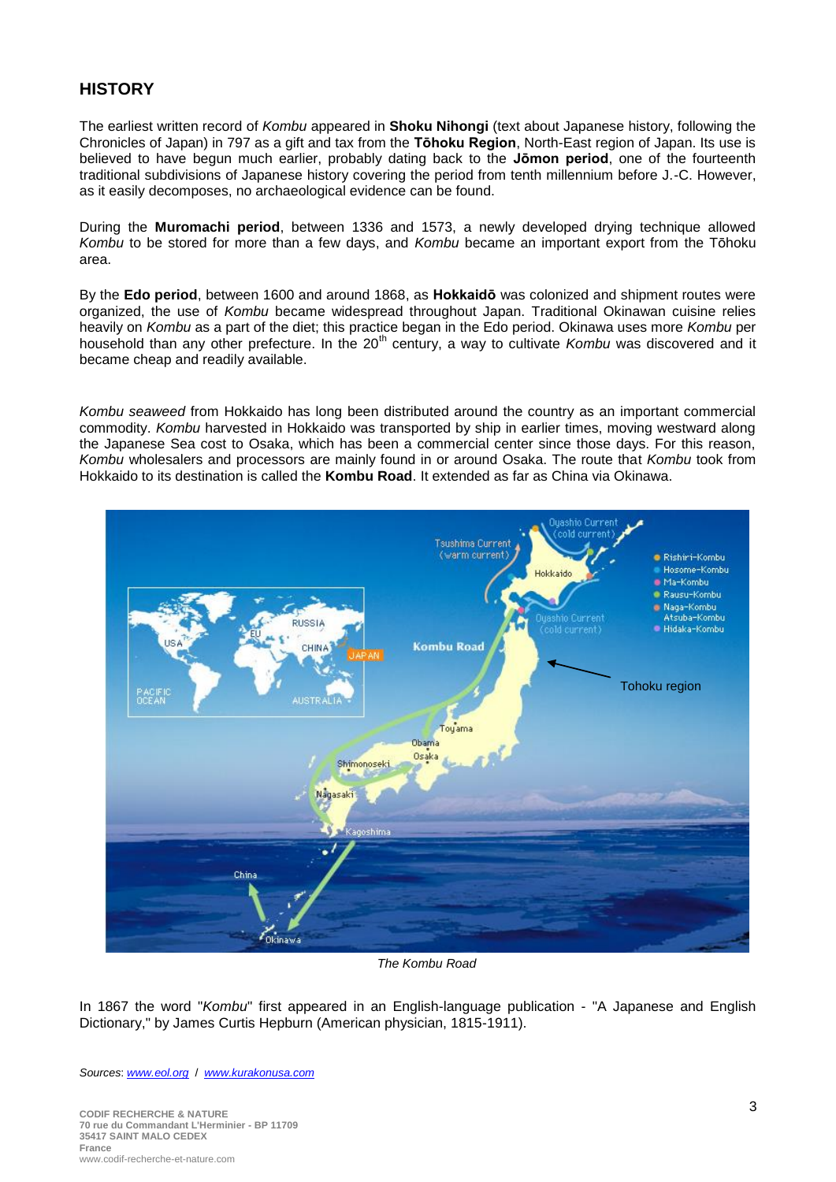## **HISTORY**

The earliest written record of *Kombu* appeared in **Shoku Nihongi** (text about Japanese history, following the Chronicles of Japan) in 797 as a gift and tax from the **Tōhoku Region**, North-East region of Japan. Its use is believed to have begun much earlier, probably dating back to the **Jōmon period**, one of the fourteenth traditional subdivisions of Japanese history covering the period from tenth millennium before J.-C. However, as it easily decomposes, no archaeological evidence can be found.

During the **Muromachi period**, between 1336 and 1573, a newly developed drying technique allowed *Kombu* to be stored for more than a few days, and *Kombu* became an important export from the Tōhoku area.

By the **Edo period**, between 1600 and around 1868, as **Hokkaidō** was colonized and shipment routes were organized, the use of *Kombu* became widespread throughout Japan. Traditional Okinawan cuisine relies heavily on *Kombu* as a part of the diet; this practice began in the Edo period. Okinawa uses more *Kombu* per household than any other prefecture. In the 20<sup>th</sup> century, a way to cultivate *Kombu* was discovered and it became cheap and readily available.

*Kombu seaweed* from Hokkaido has long been distributed around the country as an important commercial commodity. *Kombu* harvested in Hokkaido was transported by ship in earlier times, moving westward along the Japanese Sea cost to Osaka, which has been a commercial center since those days. For this reason, *Kombu* wholesalers and processors are mainly found in or around Osaka. The route that *Kombu* took from Hokkaido to its destination is called the **Kombu Road**. It extended as far as China via Okinawa.



*The Kombu Road*

In 1867 the word "*Kombu*" first appeared in an English-language publication - "A Japanese and English Dictionary," by James Curtis Hepburn (American physician, 1815-1911).

*Sources*: *[www.eol.org](http://www.eol.org/)* / *[www.kurakonusa.com](http://www.kurakonusa.com/)*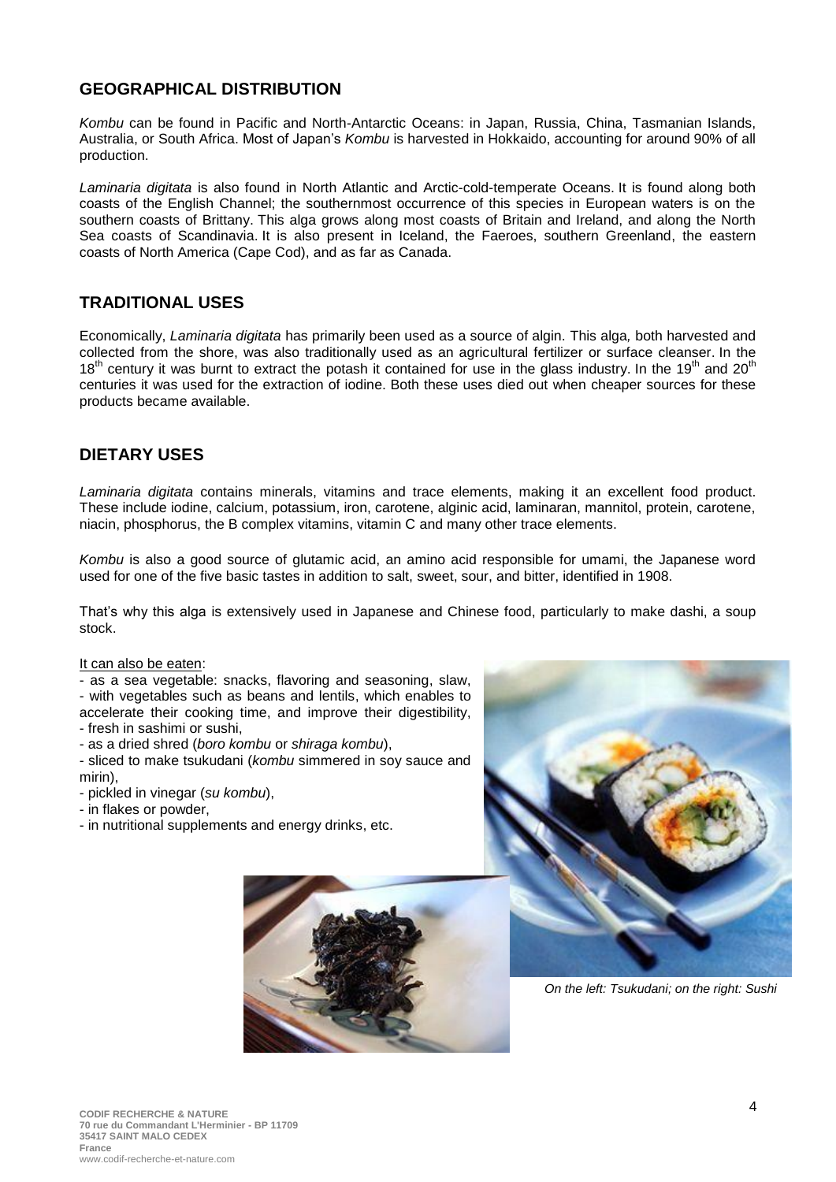#### **GEOGRAPHICAL DISTRIBUTION**

*Kombu* can be found in Pacific and North-Antarctic Oceans: in Japan, Russia, China, Tasmanian Islands, Australia, or South Africa. Most of Japan's *Kombu* is harvested in Hokkaido, accounting for around 90% of all production.

*Laminaria digitata* is also found in North Atlantic and Arctic-cold-temperate Oceans. It is found along both coasts of the English Channel; the southernmost occurrence of this species in European waters is on the southern coasts of Brittany. This alga grows along most coasts of Britain and Ireland, and along the North Sea coasts of Scandinavia. It is also present in Iceland, the Faeroes, southern Greenland, the eastern coasts of North America (Cape Cod), and as far as Canada.

## **TRADITIONAL USES**

Economically, *Laminaria digitata* has primarily been used as a source of algin. This alga*,* both harvested and collected from the shore, was also traditionally used as an agricultural fertilizer or surface cleanser. In the  $18<sup>th</sup>$  century it was burnt to extract the potash it contained for use in the glass industry. In the 19<sup>th</sup> and 20<sup>th</sup> centuries it was used for the extraction of iodine. Both these uses died out when cheaper sources for these products became available.

## **DIETARY USES**

*Laminaria digitata* contains minerals, vitamins and trace elements, making it an excellent food product. These include iodine, calcium, potassium, iron, carotene, alginic acid, laminaran, mannitol, protein, carotene, niacin, phosphorus, the B complex vitamins, vitamin C and many other trace elements.

*Kombu* is also a good source of glutamic acid, an amino acid responsible for umami, the Japanese word used for one of the five basic tastes in addition to salt, sweet, sour, and bitter, identified in 1908.

That's why this alga is extensively used in Japanese and Chinese food, particularly to make dashi, a soup stock.

#### It can also be eaten:

- as a sea vegetable: snacks, flavoring and seasoning, slaw, - with vegetables such as beans and lentils, which enables to accelerate their cooking time, and improve their digestibility, - fresh in sashimi or sushi,
- as a dried shred (*boro kombu* or *shiraga kombu*),

- sliced to make tsukudani (*kombu* simmered in soy sauce and mirin),

- pickled in vinegar (*su kombu*),
- in flakes or powder,
- in nutritional supplements and energy drinks, etc.





*On the left: Tsukudani; on the right: Sushi*